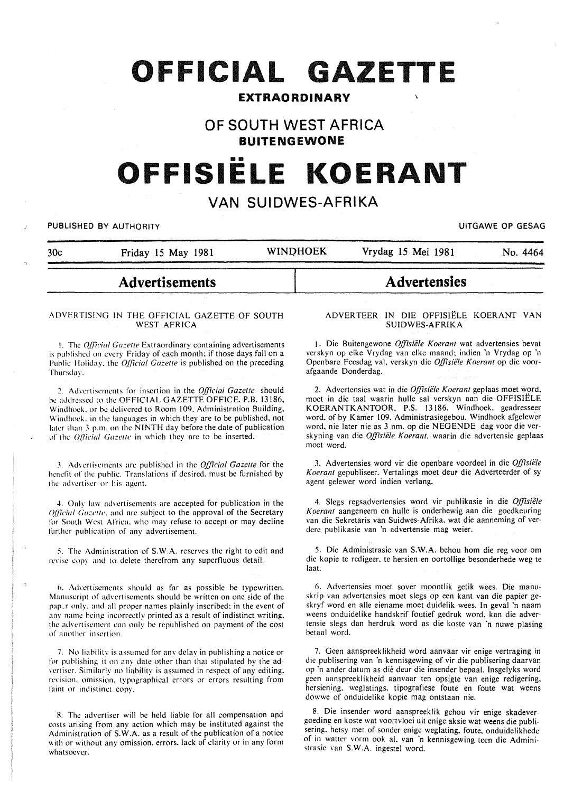# **OFFICIAL GAZETTE**

# **EXTRAORDINARY**

# **OF SOUTH WEST AFRICA**

**BUITENGEWONE** 

# •• **OFFISIELE KOERANT**

# **VAN SUIDWES-AFRIKA**

PUBLISHED BY AUTHORITY **EXECUTE A SECURE 2018 THE SECULAR SECURE 2019 THE SECURE 2019 THE SECURE 2019 THE SECURE 2019** 

|     | <b>Advertisements</b> |                 | Advertensies       |          |
|-----|-----------------------|-----------------|--------------------|----------|
| 30c | Friday 15 May 1981    | <b>WINDHOEK</b> | Vrydag 15 Mei 1981 | No. 4464 |

#### ADVERTISING IN THE OFFICIAL GAZETTE OF SOUTH WEST AFRICA

I. The *q!Jicial Gazelle* Extraordinary containing advertisements is published on every Friday of each month; if those days fall on a Public Holiday, the *Official Gazette* is published on the preceding Thursday.

~. Advertisements for insertion in the *Official Gazelle* should he addressed to the OFFICIAL GAZETTE OFFICE. P.B. 13186, Windhoek, or be delivered to Room 109. Administration Building, Windhoek. in the languages in which they are to be published, not later than 3 p.m. on the NINTH day before the date of publication of the *Official Gazette* in which they are to be inserted.

3. Advertisements are published in the *Official Gazette* for the benefit of the public. Translations if desired, must be furnished by the advertiser or his agent.

4. Only law advertisements are accepted for publication in the *(J/licial Gazelle.* and arc subject to the approval of the Secretary for South West Africa. who may refuse to accept or may decline further publication of any advertisement.

5. The Administration of S.W.A. reserves the right to edit and revise copy and to delete therefrom any superfluous detail.

6. Adwrtiscmcnts should as far as possible he typewritten. Manuscript of advertisements should be written on one side of the pap\_r only. and all proper names plainly inscribed; in the event of any name being incorrectly printed as a result of indistinct writing. the advertisement can only be republished on payment of the cost of another insertion.

7. No liability is assumed for any delay in publishing a notice or for publishing it on any date other than that stipulated by the ad· vertiser. Similarly no liability is assumed in respect of any editing. revision, omission, typographical errors or errors resulting from faint or indistinct copy.

8. The advertiser will be held liable for all compensation and costs arising from any action which may be instituted against the Administration of S.W.A. as a result of the publication of a notice with or without any omission, errors, lack of clarity or in any form whatsoever.

#### A DYER TEER IN DIE OFFISIELE KOERANT VAN SUIDWES-AFRIKA

1. Die Buitengewone *Offisiele Koerant* wat advertensies bevat verskyn op elke Vrydag van elke maand; indien 'n Vrydag op 'n Openbare Feesdag val, verskyn die *Offisiële Koerant* op die voorafgaande Donderdag.

2. Advertensies wat in die *0[/isiiile Koerant* geplaas moet word, moet in die taal waarin hulle sal verskyn aan die OFFISIELE KOERANTKANTOOR. P.S. 13186. Windhoek. geadresseer word. of by Kamer 109. Administrasiegebou. Windhoek afgelewer word, nie later nie as 3 nm. op die NEGENDE dag voor die verskyning van die *Offisiele Koerant,* waarin die advertensie geplaas moet word.

3. Advertensies word vir die openbare voordeel in die *Offisiele Koerant* gepubliseer. Vertalings moet deur die Adverteerder of sy agent gelewer word indien verlang.

4. Slegs regsadvertensies word vir publikasie in die *Offisiele Koerant* aangeneem en hulle is onderhewig aan die goedkeuring van die Sekretaris van Suidwes-Afrika, wat die aanneming of verdere publikasie van 'n advertensie mag weier.

5. Die Administrasie van S.W.A. behou hom die reg voor om die kopie te redigeer, te hersien en oortollige besonderhede weg te Ia at.

6. Advertensies moet sover moontlik getik wees. Die manuskrip van advertensies moet slegs op een kant van die papier geskryf word en aile eiename moet duidelik wees. In geval 'n naam weens onduidelike handskrif foutief gedruk word, kan die advertensie slegs dan herdruk word as die koste van 'n nuwe plasing betaal word.

7. Geen aanspreeklikheid word aanvaar vir enige vertraging in die publisering van 'n kennisgewing of vir die publisering daarvan op ·n ander datum as die deur die insender bepaal. Insgelyks word geen aanspreeklikheid aanvaar ten opsigte van enige redigering. hersiening. weglatings. tipografiese foute en foute wat weens dowwe of onduidelike kopie mag ontstaan nie.

8. Die insender word aanspreeklik gehou vir enige skadevergoeding en koste wat voortvloei uit enige aksie wat weens die publisering. hetsy met of sonder enige weglating. foute. onduidelikhede of in watter vorm ook al. van 'n kennisgewing teen die Administrasie van S.W.A. ingestel word.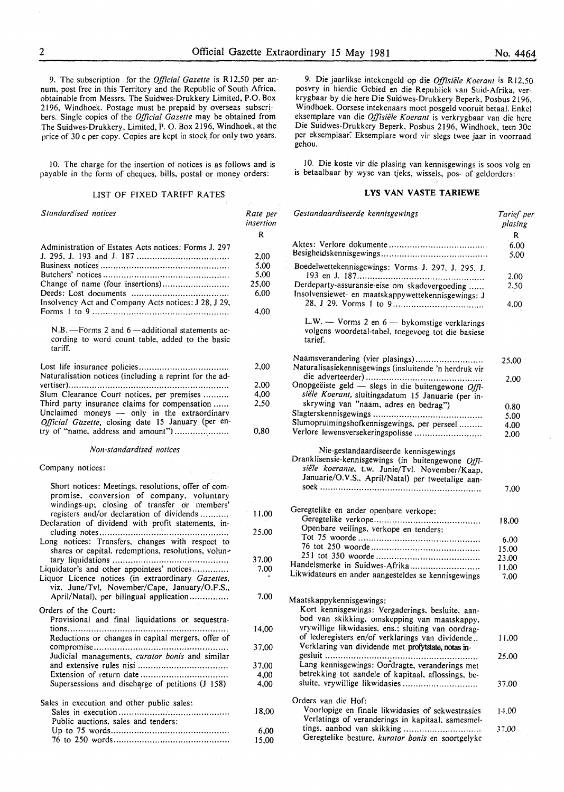9. The subscription for the *Official Gazette* is R 12,50 per annum, post free in this Territory and the Republic of South Africa, obtainable from Messrs. The Suidwes-Drukkery Limited, P.O. Box 2196, Windhoek. Postage must be prepaid by overseas subscribers. Single copies of the *Official Gazette* may be obtained from The Suidwes-Drukkery, Limited, P. 0. Box 2196, Windhoek, at the price of 30 c per copy. Copies are kept in stock for only two years.

10. The charge for the insertion of notices is as follows and is payable in the form of cheques, bills, postal or money orders:

# LIST OF FIXED TARIFF RATES

| Standardised notices                                                                                                                                                                          | Rate per<br>insertion |
|-----------------------------------------------------------------------------------------------------------------------------------------------------------------------------------------------|-----------------------|
|                                                                                                                                                                                               | R                     |
| Administration of Estates Acts notices: Forms J. 297                                                                                                                                          |                       |
|                                                                                                                                                                                               | 2,00                  |
|                                                                                                                                                                                               | 5,00                  |
|                                                                                                                                                                                               | 5,00                  |
| Change of name (four insertions)                                                                                                                                                              | 25,00                 |
|                                                                                                                                                                                               | 6,00                  |
| Insolvency Act and Company Acts notices: J 28, J 29,                                                                                                                                          | 4,00                  |
| N.B. - Forms 2 and 6 - additional statements ac-<br>cording to word count table, added to the basic<br>tariff.                                                                                |                       |
|                                                                                                                                                                                               | 2,00                  |
| Naturalisation notices (including a reprint for the ad-                                                                                                                                       |                       |
|                                                                                                                                                                                               | 2,00                  |
| Slum Clearance Court notices, per premises                                                                                                                                                    | 4,00                  |
| Third party insurance claims for compensation<br>Unclaimed moneys - only in the extraordinary<br>Official Gazette, closing date 15 January (per en-                                           | 2,50                  |
| try of "name, address and amount")                                                                                                                                                            | 0,80                  |
| Non-standardised notices                                                                                                                                                                      |                       |
| Company notices:                                                                                                                                                                              |                       |
| Short notices: Meetings, resolutions, offer of com-<br>promise, conversion of company, voluntary<br>windings-up; closing of transfer or members'<br>registers and/or declaration of dividends | 11,00                 |
| Declaration of dividend with profit statements, in-<br>Long notices: Transfers, changes with respect to                                                                                       | 25,00                 |
| shares or capital, redemptions, resolutions, volun-                                                                                                                                           |                       |
|                                                                                                                                                                                               | 37,00                 |
| Liquidator's and other appointees' notices<br>Liquor Licence notices (in extraordinary Gazettes,<br>viz. June/Tvl, November/Cape, January/O.F.S.,                                             | 7,00                  |
| April/Natal), per bilingual application                                                                                                                                                       | 7.00                  |
| Orders of the Court:                                                                                                                                                                          |                       |
| Provisional and final liquidations or sequestra-                                                                                                                                              |                       |
|                                                                                                                                                                                               | 14,00                 |
| Reductions or changes in capital mergers, offer of                                                                                                                                            |                       |
|                                                                                                                                                                                               | 37,00                 |
| Judicial managements, curator bonis and similar                                                                                                                                               |                       |
|                                                                                                                                                                                               | 37,00<br>4,00         |
| Supersessions and discharge of petitions (J 158)                                                                                                                                              | 4,00                  |
| Sales in execution and other public sales:                                                                                                                                                    |                       |
| Public auctions, sales and tenders:                                                                                                                                                           | 18,00                 |
|                                                                                                                                                                                               | 6,00                  |
|                                                                                                                                                                                               | 15,00                 |

9. Die jaarlikse intekengeld op die *Offisiele K oerant* is R 12.50 posvry in hierdie Gebied en die Republiek van Suid-Afrika, verkrygbaar by die here Die Suidwes-Drukkery Beperk, Posbus 2196, Windhoek. Oorsese intekenaars moet posgeld vooruit betaal. Enkel eksemplare van die *Offisiele Koerant* is verkrygbaar van die here Die Suidwes-Drukkery Beperk, Posbus 2196, Windhoek, teen 30c per eksemplaar: Eksemplare word vir slegs twee jaar in voorraad gehou.

10. Die koste vir die plasing van kennisgewings is soos volg en is betaalbaar by wyse van tjeks, wissels, pos- of geldorders:

#### LYS VAN VASTE TARIEWE

| Gestandaardiseerde kennisgewings                                                                                                                                                                  | Tarief per<br>plasing |
|---------------------------------------------------------------------------------------------------------------------------------------------------------------------------------------------------|-----------------------|
|                                                                                                                                                                                                   | R                     |
|                                                                                                                                                                                                   | 6.00                  |
|                                                                                                                                                                                                   | 5.00                  |
| Boedelwettekennisgewings: Vorms-J. 297, J. 295, J.                                                                                                                                                | 2.00                  |
| Derdeparty-assuransie-eise om skadevergoeding                                                                                                                                                     | 2.50                  |
| Insolvensiewet- en maatskappywettekennisgewings: J                                                                                                                                                |                       |
|                                                                                                                                                                                                   | 4.00                  |
| L.W. - Vorms 2 en $6$ - by komstige verklarings<br>volgens woordetal-tabel, toegevoeg tot die basiese<br>tarief.                                                                                  |                       |
| Naamsverandering (vier plasings)                                                                                                                                                                  | 25.00                 |
| Naturalisasiekennisgewings (insluitende 'n herdruk vir                                                                                                                                            |                       |
|                                                                                                                                                                                                   | 2.00                  |
| Onopgeëiste geld - slegs in die buitengewone Offi-                                                                                                                                                |                       |
| siële Koerant, sluitingsdatum 15 Januarie (per in-                                                                                                                                                |                       |
| skrywing van "naam, adres en bedrag")                                                                                                                                                             | 0.80                  |
|                                                                                                                                                                                                   | 5,00                  |
| Slumopruimingshofkennisgewings, per perseel                                                                                                                                                       | 4,00                  |
| Verlore lewensversekeringspolisse                                                                                                                                                                 | 2.00                  |
| Nie-gestandaardiseerde kennisgewings<br>Dranklisensie-kennisgewings (in buitengewone Offl-<br>siële koerante, t.w. Junie/Tvl. November/Kaap,<br>Januarie/O.V.S., April/Natal) per tweetalige aan- | 7.00                  |
|                                                                                                                                                                                                   |                       |
| Geregtelike en ander openbare verkope:                                                                                                                                                            |                       |
|                                                                                                                                                                                                   | 18.00                 |
| Openbare veilings, verkope en tenders:                                                                                                                                                            |                       |
|                                                                                                                                                                                                   | 6.00                  |
|                                                                                                                                                                                                   | 15,00                 |
|                                                                                                                                                                                                   | 23,00                 |
| Handelsmerke in Suidwes-Afrika                                                                                                                                                                    | 11,00                 |
| Likwidateurs en ander aangesteldes se kennisgewings                                                                                                                                               | 7.00                  |
| Maatskappykennisgewings:<br>Kort kennisgewings: Vergaderings, besluite, aan-<br>bod van skikking, omskepping van maatskappy,<br>vrywillige likwidasies, ens.; sluiting van oordrag-               |                       |
| of lederegisters en/of verklarings van dividende<br>Verklaring van dividende met profytstate, notas in-                                                                                           | 11,00                 |
| gesluit                                                                                                                                                                                           | 25.00                 |
| Lang kennisgewings: Oordragte, veranderings met<br>betrekking tot aandele of kapitaal, aflossings, be-                                                                                            |                       |
| sluite, vrywillige likwidasies                                                                                                                                                                    | 37.00                 |
| Orders van die Hof:                                                                                                                                                                               |                       |
| Voorlopige en finale likwidasies of sekwestrasies                                                                                                                                                 |                       |
| Verlatings of veranderings in kapitaal, samesmel-                                                                                                                                                 | 14.00                 |
| tings, aanbod van skikking                                                                                                                                                                        | 37.00                 |
| Geregtelike besture, kurator bonis en soortgelyke                                                                                                                                                 |                       |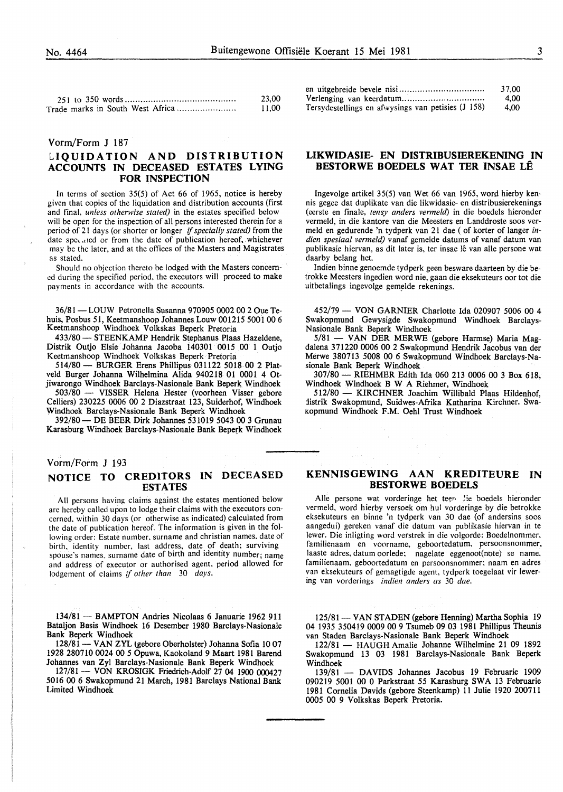|                                  | 23.00 |
|----------------------------------|-------|
| Trade marks in South West Africa | 11,00 |

#### Vorm/Form J 187

# **liQUIDATION AND DISTRIBUTION ACCOUNTS IN DECEASED ESTATES LYING FOR INSPECTION**

In terms of section 35(5) of Act 66 of 1965, notice is hereby given that copies of the liquidation and distribution accounts (first and final, *unless otherwise stated)* in the estates specified below will be open for the inspection of all persons interested therein for a period of 21 days (or shorter or longer if *specially stated)* from the date spe, .11ed or from the date of publication hereof. whichever may be the later. and at the oflices of the Masters and Magistrates as stated.

Should no objection thereto be lodged with the Masters concerned during the specified period, the executors will proceed to make payments in accordance with the accounts.

36/81 - LOUW Petronella Susanna 970905 0002 00 2 Oue Tehuis, Posbus 51, Keetmanshoop Johannes Louw 001215 5001 00 6 Keetrnanshoop Windhoek Volkskas Beperk Pretoria

433/80 - STEENKAMP Hendrik Stephanus Plaas Hazeldene, Distrik Outjo Elsie Johanna Jacoba 140301 0015 00 1 Outjo Keetmanshoop Windhoek Volkskas Beperk Pretoria

514/80- BURGER Erens Phillipus 031122 5018 00 2 Platveld Burger Johanna Wilhelmina Alida 940218 01 0001 4 Otjiwarongo Windhoek Barclays-Nasionale Bank Beperk Windhoek

503/80 - VISSER Helena Hester (voorheen Visser gebore Celliers) 230225 0006 00 2 Diazstraat 123, Suiderhof, Windhoek Windhoek Barclays-Nasionale Bank Beperk Windhoek

392/80- DE BEER Dirk Johannes 531019 5043 00 3 Grunau Karasburg Windhoek Barclays-Nasionale Bank Beperk Windhoek

#### Vorm/Form J 193

# **NOTICE TO CREDITORS IN DECEASED ESTATES**

All persons having claims against the estates mentioned below are hereby called upon to lodge their claims with the executors concerned, within 30 days (or otherwise as indicated) calculated from the date of publication hereof. The information is given in the following order: Estate number. surname and christian names. date of birth. identity number, last address, date of death; surviving spouse's names. surname date of birth and identity number; name and address of executor or authorised agent. period allowed for lodgement of claims if *other than* 30 *days.* 

134/81- BAMPTON Andries Nicolaas 6 Januarie 1962 911 Bataljon Basis Windhoek 16 Desember 1980 Barclays-Nasionale Bank Beperk Windhoek

128/81 - VAN ZYL (gebore Oberholster) Johanna Sofia 10 07 1928 280710 0024 00 5 Opuwa, Kaokoland 9 Maart 1981 Barend Johannes van Zyl Barclays-Nasionale Bank Beperk Windhoek

127/81- VON KROSIGK Friedrich-Adolf 27 04 1900 000427 5016 00 6 Swakopmund 21 March, 1981 Barclays National Bank Limited Windhoek

|                                                    | 37.00 |
|----------------------------------------------------|-------|
|                                                    | 4.00  |
| Tersydestellings en afwysings van petisies (J 158) | 4.00  |

## **LIKWIDASIE- EN DISTRIBUSIEREKENING IN BESTORWE BOEDELS WAT TER INSAE LE**

Ingevolge artikel 35(5) van Wet 66 van 1965, word hierby kennis gegee dat duplikate van die likwidasie- en distribusierekenings (eerste en finale, *tensy anders vermeld)* in die boedels hieronder vermeld, in die kantore van die Meesters en Landdroste soos vermeld en gedurende 'n tydperk van 21 dae ( of korter of Ianger *indien spesiaal vermeld)* vanaf gemelde datums of vanaf datum van publikasie hiervan, as dit later is, ter insae lê van alle persone wat daarby belang het.

Indien binne genoemde tydperk geen besware daarteen by die betrokke Meesters ingedien word nie, gaan die eksekuteurs oor tot die uitbetalings ingevolge gemelde rekenings.

452/79 - VON GARNIER Charlotte Ida 020907 5006 00 4 Swakopmund Gewysigde Swakopmund Windhoek Barclays-Nasionale Bank Beperk Windhoek

5/81 - VAN DER MERWE (gebore Harmse) Maria Magdalena 371220 0006 00 2 Swakopmund Hendrik Jacobus van der Merwe 380713 5008 00 6 Swakopmund Windhoek Barclays-Nasionale Bank Beperk Windhoek

307/80- RIEHMER Edith Ida 060 213 0006 00 3 Box 618, Windhoek Windhoek B W A Riehmer, Windhoek

512/80- KIRCHNER Joachim Willibald Plaas Hildenhof, iistrik Swakopmund, Suidwes-Afrika Katharina Kirchner. Swakopmund Windhoek F.M. Oehl Trust Windhoek

## **KENNISGEWING AAN KREDITEURE IN BESTORWE BOEDELS**

Alle persone wat vorderinge het teen lie boedels hieronder vermeld, word hierby versoek om hul vorderinge by die betrokke eksekuteurs en binne 'n tydperk van 30 dae (of andersins soos aangedui) gereken vanaf die datum van publikasie hiervan in te lewer. Die inligting word verstrek in die volgorde: Boedelnommer, familienaam en voorname, geboortedatum, persoonsnommer, laaste adres, datum oorlede; nagelate eggenoot(note) se name, familienaam, geboortedatum en persoonsnommer; naam en adres van eksekuteurs of gemagtigde agent, tydperk toegelaat vir lewering van vorderings *indien anders as* 30 *dae.* 

125/81 - VAN STADEN (gebore Henning) Martha Sophia 19 04 1935 350419 0009 00 9 Tsumeb 09 03 1981 Phillipus Theunis van Staden Barclays-Nasionale Bank Beperk Windhoek

122/81 - HAUGH Amalie Johanne Wilhelmine 21 09 1892 Swakopmund 13 03 1981 Barclays-Nasionale Bank Beperk Windhoek<br> $139/81$ 

DAVIDS Johannes Jacobus 19 Februarie 1909 090219 5001 00 0 Parkstraat 55 Karasburg SWA 13 Februarie 1981 Cornelia Davids (gebore Steenkarnp) 11 Julie 1920 200711 0005 00 9 Volkskas Beperk Pretoria.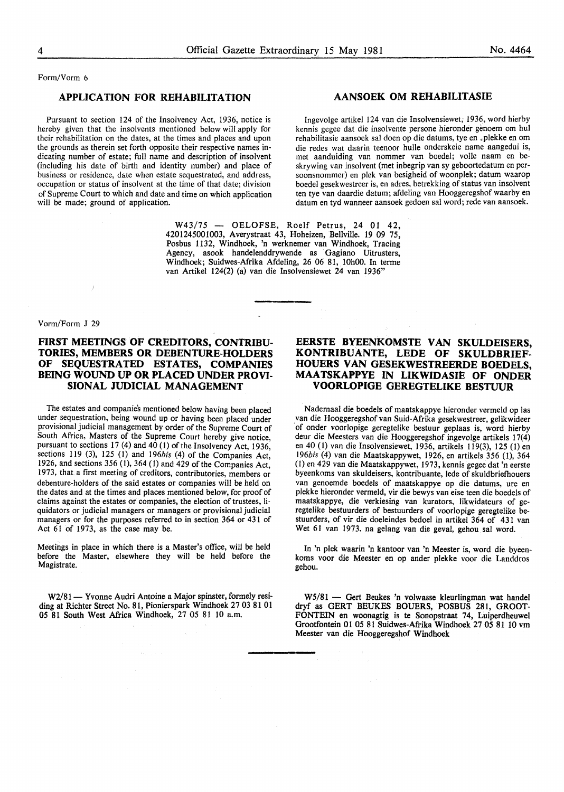Form/Vorm 6

#### APPLICATION FOR REHABILITATION

Pursuant to section 124 of the Insolvency Act, 1936, notice is hereby given that the insolvents mentioned below will apply for their rehabilitation on the dates, at the times and places and upon the grounds as therein set forth opposite their respective names indicating number of estate; full name and description of insolvent (including his date of birth and identity number) and place of business or residence, date when estate sequestrated, and address, occupation or status of insolvent at the time of that date; division of Supreme Court to which and date and time on which application will be made; ground of application.

> $W43/75$  - OELOFSE, Roelf Petrus, 24 01 42, 4201245001003, Averystraat 43, Hoheizen, Bellville. 19 09 75, Posbus 1132, Windhoek, 'n werknemer van Windhoek, Tracing Agency, asook handelenddrywende as Gagiano Uitrusters, Windhoek; Suidwes-Afrika Afdeling, 26 06 81, 10h00. In terme van Artikel 124(2) (a) van die Insolvensiewet 24 van 1936"

#### Vorm/Form J 29

# FIRST MEETINGS OF CREDITORS, CONTRIBU-TORIES, MEMBERS OR DEBENTURE-HOLDERS OF SEQUESTRATED ESTATES, COMPANIES BEING WOUND UP OR PLACED UNDER PROVI-SIONAL JUDICIAL MANAGEMENT

The estates and companies mentioned below having been placed under sequestration, being wound up or having been placed under provisional judicial management by order of the. Supreme Court of South Africa, Masters of the Supreme Court hereby give notice, pursuant to sections 17 (4) and 40 (1) of the Insolvency Act, 1936, sections 119 (3), 125 (1) and 196bis (4) of the Companies Act, 1926, and sections 356 (1), 364 ( 1) and 429 of the Companies Act, 1973, that a first meeting of creditors, contributories, members or debenture-holders of the said estates or companies will be held on the dates and at the times and places mentioned below, for proof of claims against the estates or companies, the election of trustees, liquidators or judicial managers or managers or provisional judicial managers or for the purposes referred to in section 364 or 431 of Act 61 of 1973, as the case may be.

Meetings in place in which there is a Master's office, will be held before the Master, elsewhere they will be held before the Magistrate.

W2/81 - Yvonne Audri Antoine a Major spinster, formely residing at Richter Street No. 81, Pionierspark Windhoek 27 03 81 01 05 81 South West Africa Windhoek, 27 *05* 81 10 a.m.

# AANSOEK OM REHABILITASIE

Ingevolge artikel 124 van die Insolvensiewet; 1936, word hierby kennis gegee dat die insolvente persone hieronder genoem om hul rehabilitasie aansoek sa! doen op die datums, tye en ,plekke en om die redes wat daarin teenoor hulle onderskeie name aangedui is, met aanduiding van nommer van boedel; volle naam en beskrywing van insolvent (met inbegrip van sy geboortedatum en persoonsnommer) en plek van besigheid of woonplek; datum waarop boedel gesekwestreer is, en adres, betrekking of status van insolvent ten tye van daardie datum; afdeling van Hooggeregshof waarby en datum en tyd wanneer aansoek gedoen sal word; rede van aansoek.

# EERSTE BYEENKOMSTE VAN SKULDEISERS, KONTRIBUANTE, LEDE OF SKULDBRIEF-HOUERS VAN GESEKWESTREERDE BOEDELS, MAA TSKAPPYE IN LIKWIDASIE OF ONDER VOORLOPIGE GEREGTELIKE BESTUUR

Nademaal die boedels of maatskappye hieronder vermeld op las van die Hooggeregshof van Suid-Afrika gesekwestreer, gelikwideer of onder voorlopige geregtelike bestuur geplaas is, word hierby deur die Meesters van die Hooggeregshof ingevolge artikels 17(4) en 40 (l) van die Insolvensiewet, 1936, artikels 119(3), 125 (I) en 196bis (4) van die Maatskappywet, 1926, en artikels 356 (I), 364 (I) en 429 van die Maatskappywet, 1973, kennis gegee dat 'n eerste byeenkoms van skuldeisers, kontribuante, lede of skuldbriefhouers van genoemde boedels of maatskappye op die datums, ure en plekke hieronder vermeld, vir die bewys van eise teen die boedels of maatskappye, die verkiesing van kurators, likwidateurs of geregtelike bestuurders of bestuurders of voorlopige geregtelike bestuurders, of vir die doeleindes bedoel in artikel 364 of 431 van Wet 61 van 1973, na gelang van die geval, gehou sal word.

In 'n plek waarin 'n kantoor van 'n Meester is, word die byeenkoms voor die Meester en op ander plekke voor die Landdros gehou.

W5/81 - Gert Beukes 'n volwasse kleurlingman wat handel dryf as GERT BEUKES BOUERS, POSBUS 281, GROOT-FONTEIN en woonagtig is te Sonopstraat 74, Luiperdheuwel Grootfontein 01 *05* 81 Suidwes-Afrika Windhoek 27 *05* 81 10 vm Meester van die Hooggeregshof Windhoek